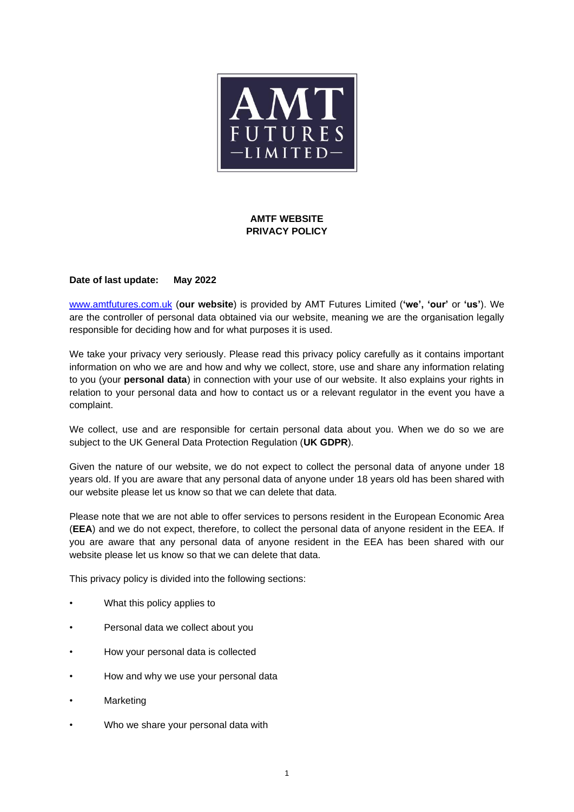

# **AMTF WEBSITE PRIVACY POLICY**

### **Date of last update: May 2022**

[www.amtfutures.com.uk](http://www.amtfutures.com.uk/) (**our website**) is provided by AMT Futures Limited (**'we', 'our'** or **'us'**). We are the controller of personal data obtained via our website, meaning we are the organisation legally responsible for deciding how and for what purposes it is used.

We take your privacy very seriously. Please read this privacy policy carefully as it contains important information on who we are and how and why we collect, store, use and share any information relating to you (your **personal data**) in connection with your use of our website. It also explains your rights in relation to your personal data and how to contact us or a relevant regulator in the event you have a complaint.

We collect, use and are responsible for certain personal data about you. When we do so we are subject to the UK General Data Protection Regulation (**UK GDPR**).

Given the nature of our website, we do not expect to collect the personal data of anyone under 18 years old. If you are aware that any personal data of anyone under 18 years old has been shared with our website please let us know so that we can delete that data.

Please note that we are not able to offer services to persons resident in the European Economic Area (**EEA**) and we do not expect, therefore, to collect the personal data of anyone resident in the EEA. If you are aware that any personal data of anyone resident in the EEA has been shared with our website please let us know so that we can delete that data.

This privacy policy is divided into the following sections:

- What this policy applies to
- Personal data we collect about you
- How your personal data is collected
- How and why we use your personal data
- **Marketing**
- Who we share your personal data with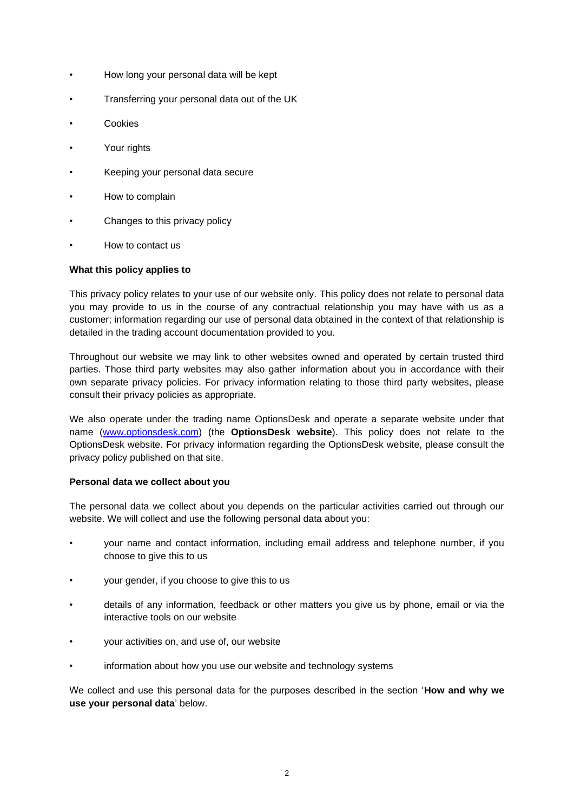- How long your personal data will be kept
- Transferring your personal data out of the UK
- **Cookies**
- Your rights
- Keeping your personal data secure
- How to complain
- Changes to this privacy policy
- How to contact us

## **What this policy applies to**

This privacy policy relates to your use of our website only. This policy does not relate to personal data you may provide to us in the course of any contractual relationship you may have with us as a customer; information regarding our use of personal data obtained in the context of that relationship is detailed in the trading account documentation provided to you.

Throughout our website we may link to other websites owned and operated by certain trusted third parties. Those third party websites may also gather information about you in accordance with their own separate privacy policies. For privacy information relating to those third party websites, please consult their privacy policies as appropriate.

We also operate under the trading name OptionsDesk and operate a separate website under that name [\(www.optionsdesk.com\)](http://www.optionsdesk.com/) (the **OptionsDesk website**). This policy does not relate to the OptionsDesk website. For privacy information regarding the OptionsDesk website, please consult the privacy policy published on that site.

## **Personal data we collect about you**

The personal data we collect about you depends on the particular activities carried out through our website. We will collect and use the following personal data about you:

- your name and contact information, including email address and telephone number, if you choose to give this to us
- your gender, if you choose to give this to us
- details of any information, feedback or other matters you give us by phone, email or via the interactive tools on our website
- your activities on, and use of, our website
- information about how you use our website and technology systems

We collect and use this personal data for the purposes described in the section '**How and why we use your personal data**' below.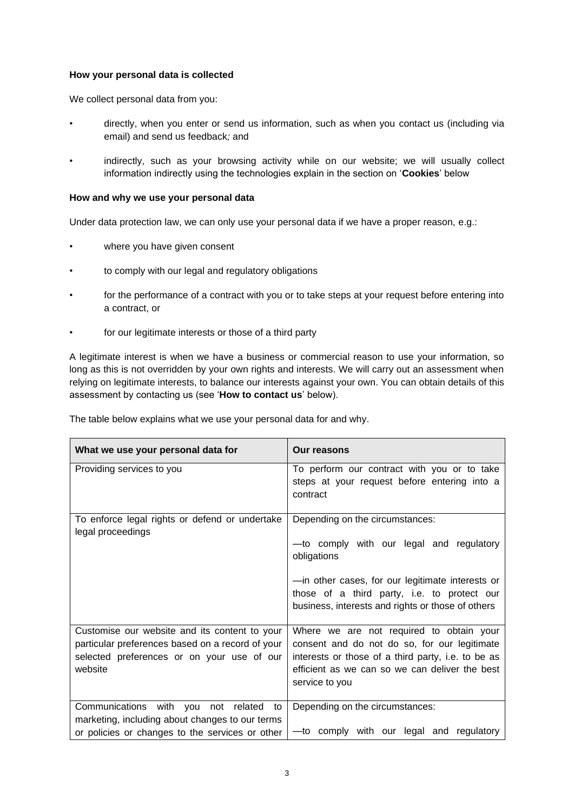### **How your personal data is collected**

We collect personal data from you:

- directly, when you enter or send us information, such as when you contact us (including via email) and send us feedback*;* and
- indirectly, such as your browsing activity while on our website; we will usually collect information indirectly using the technologies explain in the section on '**Cookies**' below

### **How and why we use your personal data**

Under data protection law, we can only use your personal data if we have a proper reason, e.g.:

- where you have given consent
- to comply with our legal and regulatory obligations
- for the performance of a contract with you or to take steps at your request before entering into a contract, or
- for our legitimate interests or those of a third party

A legitimate interest is when we have a business or commercial reason to use your information, so long as this is not overridden by your own rights and interests. We will carry out an assessment when relying on legitimate interests, to balance our interests against your own. You can obtain details of this assessment by contacting us (see '**How to contact us**' below).

| What we use your personal data for                                                                                                                         | Our reasons                                                                                                                                                                                                                                        |
|------------------------------------------------------------------------------------------------------------------------------------------------------------|----------------------------------------------------------------------------------------------------------------------------------------------------------------------------------------------------------------------------------------------------|
| Providing services to you                                                                                                                                  | To perform our contract with you or to take<br>steps at your request before entering into a<br>contract                                                                                                                                            |
| To enforce legal rights or defend or undertake<br>legal proceedings                                                                                        | Depending on the circumstances:<br>-to comply with our legal and regulatory<br>obligations<br>-in other cases, for our legitimate interests or<br>those of a third party, i.e. to protect our<br>business, interests and rights or those of others |
| Customise our website and its content to your<br>particular preferences based on a record of your<br>selected preferences or on your use of our<br>website | Where we are not required to obtain your<br>consent and do not do so, for our legitimate<br>interests or those of a third party, i.e. to be as<br>efficient as we can so we can deliver the best<br>service to you                                 |
| Communications with you<br>not related<br>to<br>marketing, including about changes to our terms<br>or policies or changes to the services or other         | Depending on the circumstances:<br>-to comply with our legal and regulatory                                                                                                                                                                        |

The table below explains what we use your personal data for and why.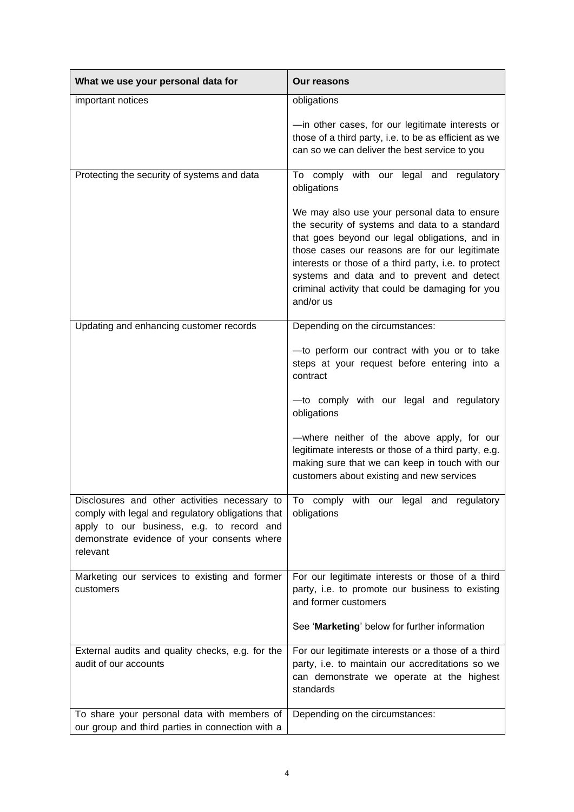| What we use your personal data for                                                                                                                        | Our reasons                                                                                                                                                                                                                                                                                                                                                               |
|-----------------------------------------------------------------------------------------------------------------------------------------------------------|---------------------------------------------------------------------------------------------------------------------------------------------------------------------------------------------------------------------------------------------------------------------------------------------------------------------------------------------------------------------------|
| important notices                                                                                                                                         | obligations                                                                                                                                                                                                                                                                                                                                                               |
|                                                                                                                                                           | -in other cases, for our legitimate interests or<br>those of a third party, i.e. to be as efficient as we<br>can so we can deliver the best service to you                                                                                                                                                                                                                |
| Protecting the security of systems and data                                                                                                               | To comply with our legal and regulatory<br>obligations                                                                                                                                                                                                                                                                                                                    |
|                                                                                                                                                           | We may also use your personal data to ensure<br>the security of systems and data to a standard<br>that goes beyond our legal obligations, and in<br>those cases our reasons are for our legitimate<br>interests or those of a third party, i.e. to protect<br>systems and data and to prevent and detect<br>criminal activity that could be damaging for you<br>and/or us |
| Updating and enhancing customer records                                                                                                                   | Depending on the circumstances:                                                                                                                                                                                                                                                                                                                                           |
|                                                                                                                                                           | -to perform our contract with you or to take<br>steps at your request before entering into a<br>contract                                                                                                                                                                                                                                                                  |
|                                                                                                                                                           | -to comply with our legal and regulatory<br>obligations                                                                                                                                                                                                                                                                                                                   |
|                                                                                                                                                           | -where neither of the above apply, for our<br>legitimate interests or those of a third party, e.g.<br>making sure that we can keep in touch with our<br>customers about existing and new services                                                                                                                                                                         |
| comply with legal and regulatory obligations that<br>apply to our business, e.g. to record and<br>demonstrate evidence of your consents where<br>relevant | Disclosures and other activities necessary to $\vert$ To comply with our legal and regulatory<br>obligations                                                                                                                                                                                                                                                              |
| Marketing our services to existing and former<br>customers                                                                                                | For our legitimate interests or those of a third<br>party, i.e. to promote our business to existing<br>and former customers                                                                                                                                                                                                                                               |
|                                                                                                                                                           | See 'Marketing' below for further information                                                                                                                                                                                                                                                                                                                             |
| External audits and quality checks, e.g. for the<br>audit of our accounts                                                                                 | For our legitimate interests or a those of a third<br>party, i.e. to maintain our accreditations so we<br>can demonstrate we operate at the highest<br>standards                                                                                                                                                                                                          |
| To share your personal data with members of<br>our group and third parties in connection with a                                                           | Depending on the circumstances:                                                                                                                                                                                                                                                                                                                                           |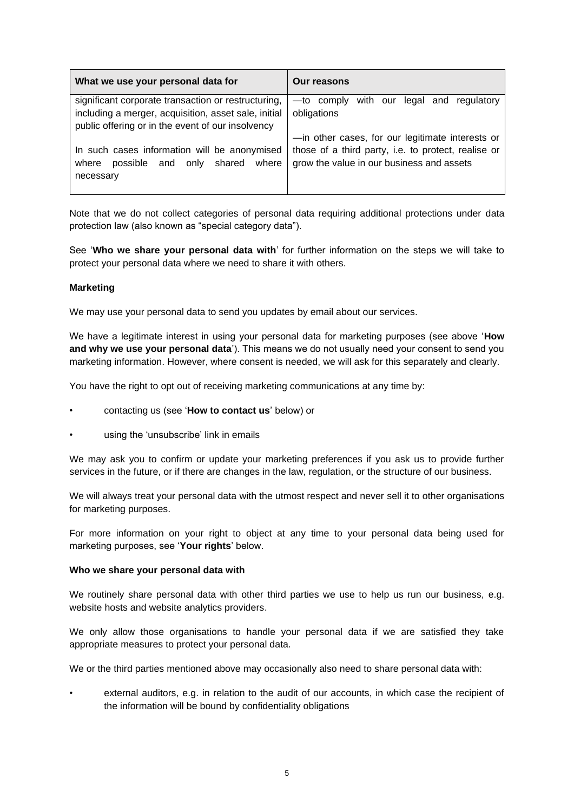| What we use your personal data for                   | <b>Our reasons</b>                                   |
|------------------------------------------------------|------------------------------------------------------|
| significant corporate transaction or restructuring,  | with our<br>regulatory<br>—to comply<br>legal<br>and |
| including a merger, acquisition, asset sale, initial | obligations                                          |
| public offering or in the event of our insolvency    |                                                      |
|                                                      | -in other cases, for our legitimate interests or     |
| In such cases information will be anonymised         | those of a third party, i.e. to protect, realise or  |
| possible and only shared<br>where<br>where           | grow the value in our business and assets            |
| necessary                                            |                                                      |
|                                                      |                                                      |

Note that we do not collect categories of personal data requiring additional protections under data protection law (also known as "special category data").

See '**Who we share your personal data with**' for further information on the steps we will take to protect your personal data where we need to share it with others.

### **Marketing**

We may use your personal data to send you updates by email about our services.

We have a legitimate interest in using your personal data for marketing purposes (see above '**How and why we use your personal data**'). This means we do not usually need your consent to send you marketing information. However, where consent is needed, we will ask for this separately and clearly.

You have the right to opt out of receiving marketing communications at any time by:

- contacting us (see '**How to contact us**' below) or
- using the 'unsubscribe' link in emails

We may ask you to confirm or update your marketing preferences if you ask us to provide further services in the future, or if there are changes in the law, regulation, or the structure of our business.

We will always treat your personal data with the utmost respect and never sell it to other organisations for marketing purposes.

For more information on your right to object at any time to your personal data being used for marketing purposes, see '**Your rights**' below.

#### **Who we share your personal data with**

We routinely share personal data with other third parties we use to help us run our business, e.g. website hosts and website analytics providers.

We only allow those organisations to handle your personal data if we are satisfied they take appropriate measures to protect your personal data.

We or the third parties mentioned above may occasionally also need to share personal data with:

• external auditors, e.g. in relation to the audit of our accounts, in which case the recipient of the information will be bound by confidentiality obligations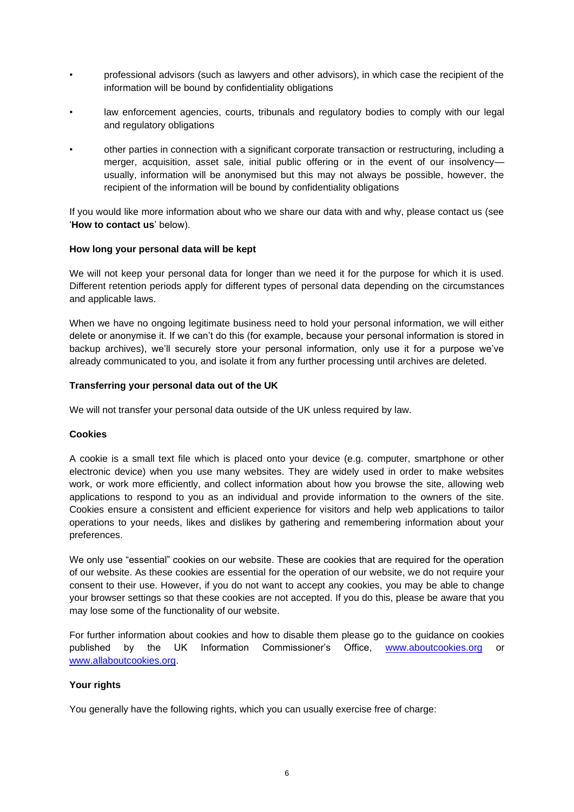- professional advisors (such as lawyers and other advisors), in which case the recipient of the information will be bound by confidentiality obligations
- law enforcement agencies, courts, tribunals and regulatory bodies to comply with our legal and regulatory obligations
- other parties in connection with a significant corporate transaction or restructuring, including a merger, acquisition, asset sale, initial public offering or in the event of our insolvency usually, information will be anonymised but this may not always be possible, however, the recipient of the information will be bound by confidentiality obligations

If you would like more information about who we share our data with and why, please contact us (see '**How to contact us**' below).

### **How long your personal data will be kept**

We will not keep your personal data for longer than we need it for the purpose for which it is used. Different retention periods apply for different types of personal data depending on the circumstances and applicable laws.

When we have no ongoing legitimate business need to hold your personal information, we will either delete or anonymise it. If we can't do this (for example, because your personal information is stored in backup archives), we'll securely store your personal information, only use it for a purpose we've already communicated to you, and isolate it from any further processing until archives are deleted.

### **Transferring your personal data out of the UK**

We will not transfer your personal data outside of the UK unless required by law.

## **Cookies**

A cookie is a small text file which is placed onto your device (e.g. computer, smartphone or other electronic device) when you use many websites. They are widely used in order to make websites work, or work more efficiently, and collect information about how you browse the site, allowing web applications to respond to you as an individual and provide information to the owners of the site. Cookies ensure a consistent and efficient experience for visitors and help web applications to tailor operations to your needs, likes and dislikes by gathering and remembering information about your preferences.

We only use "essential" cookies on our website. These are cookies that are required for the operation of our website. As these cookies are essential for the operation of our website, we do not require your consent to their use. However, if you do not want to accept any cookies, you may be able to change your browser settings so that these cookies are not accepted. If you do this, please be aware that you may lose some of the functionality of our website.

For further information about cookies and how to disable them please go to the guidance on cookies published by the UK Information Commissioner's Office, www.aboutcookies.org or www.allaboutcookies.org.

## **Your rights**

You generally have the following rights, which you can usually exercise free of charge: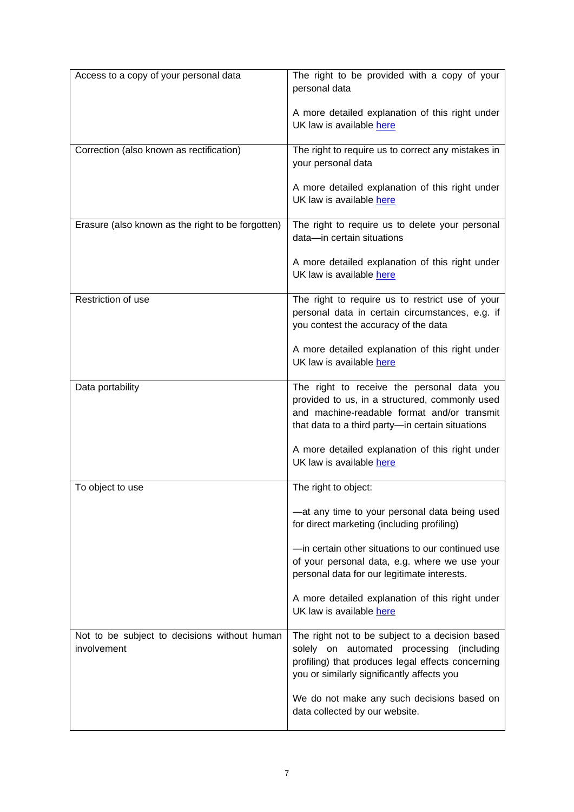| Access to a copy of your personal data                      | The right to be provided with a copy of your<br>personal data                                                                                                                                   |
|-------------------------------------------------------------|-------------------------------------------------------------------------------------------------------------------------------------------------------------------------------------------------|
|                                                             | A more detailed explanation of this right under<br>UK law is available here                                                                                                                     |
| Correction (also known as rectification)                    | The right to require us to correct any mistakes in<br>your personal data                                                                                                                        |
|                                                             | A more detailed explanation of this right under<br>UK law is available here                                                                                                                     |
| Erasure (also known as the right to be forgotten)           | The right to require us to delete your personal<br>data-in certain situations                                                                                                                   |
|                                                             | A more detailed explanation of this right under<br>UK law is available here                                                                                                                     |
| Restriction of use                                          | The right to require us to restrict use of your<br>personal data in certain circumstances, e.g. if<br>you contest the accuracy of the data                                                      |
|                                                             | A more detailed explanation of this right under<br>UK law is available here                                                                                                                     |
| Data portability                                            | The right to receive the personal data you<br>provided to us, in a structured, commonly used<br>and machine-readable format and/or transmit<br>that data to a third party-in certain situations |
|                                                             | A more detailed explanation of this right under<br>UK law is available here                                                                                                                     |
| To object to use                                            | The right to object:                                                                                                                                                                            |
|                                                             | -at any time to your personal data being used<br>for direct marketing (including profiling)                                                                                                     |
|                                                             | -in certain other situations to our continued use<br>of your personal data, e.g. where we use your<br>personal data for our legitimate interests.                                               |
|                                                             | A more detailed explanation of this right under<br>UK law is available here                                                                                                                     |
| Not to be subject to decisions without human<br>involvement | The right not to be subject to a decision based<br>solely on automated processing (including<br>profiling) that produces legal effects concerning<br>you or similarly significantly affects you |
|                                                             | We do not make any such decisions based on<br>data collected by our website.                                                                                                                    |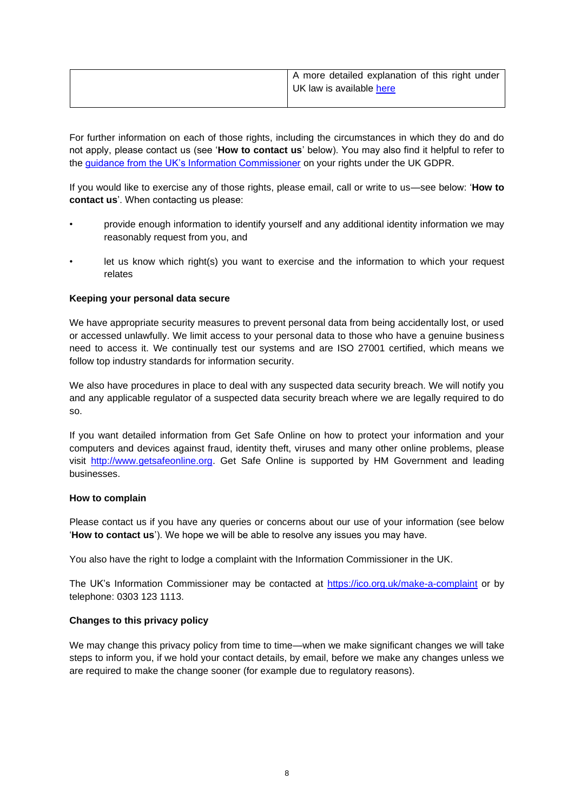| A more detailed explanation of this right under<br>UK law is available here |
|-----------------------------------------------------------------------------|
|                                                                             |

For further information on each of those rights, including the circumstances in which they do and do not apply, please contact us (see '**How to contact us**' below). You may also find it helpful to refer to the [guidance from the UK's Information Commissioner](https://ico.org.uk/your-data-matters/) on your rights under the UK GDPR.

If you would like to exercise any of those rights, please email, call or write to us—see below: '**How to contact us**'. When contacting us please:

- provide enough information to identify yourself and any additional identity information we may reasonably request from you, and
- let us know which right(s) you want to exercise and the information to which your request relates

## **Keeping your personal data secure**

We have appropriate security measures to prevent personal data from being accidentally lost, or used or accessed unlawfully. We limit access to your personal data to those who have a genuine business need to access it. We continually test our systems and are ISO 27001 certified, which means we follow top industry standards for information security.

We also have procedures in place to deal with any suspected data security breach. We will notify you and any applicable regulator of a suspected data security breach where we are legally required to do so.

If you want detailed information from Get Safe Online on how to protect your information and your computers and devices against fraud, identity theft, viruses and many other online problems, please visit [http://www.getsafeonline.org.](http://www.getsafeonline.org/) Get Safe Online is supported by HM Government and leading businesses.

#### **How to complain**

Please contact us if you have any queries or concerns about our use of your information (see below '**How to contact us**'). We hope we will be able to resolve any issues you may have.

You also have the right to lodge a complaint with the Information Commissioner in the UK.

The UK's Information Commissioner may be contacted at<https://ico.org.uk/make-a-complaint> or by telephone: 0303 123 1113.

## **Changes to this privacy policy**

We may change this privacy policy from time to time—when we make significant changes we will take steps to inform you, if we hold your contact details, by email, before we make any changes unless we are required to make the change sooner (for example due to regulatory reasons).